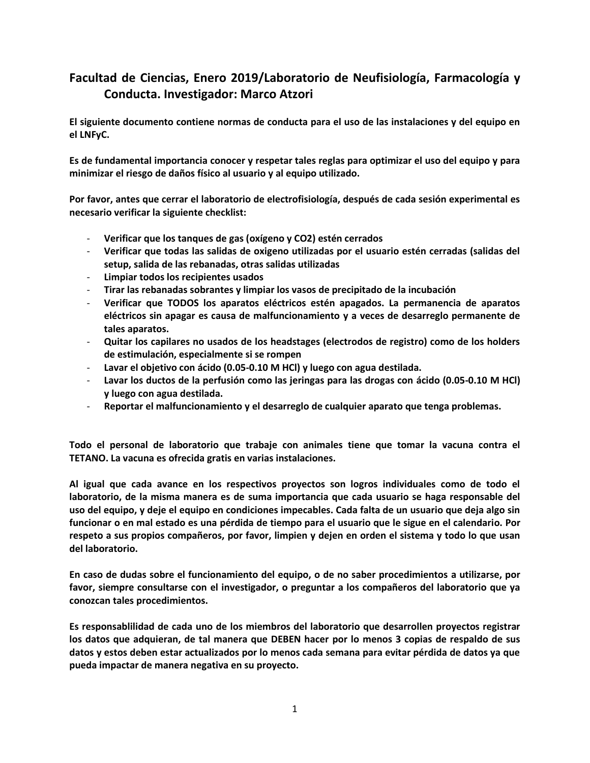# **Facultad de Ciencias, Enero 2019/Laboratorio de Neufisiología, Farmacología y Conducta. Investigador: Marco Atzori**

**El siguiente documento contiene normas de conducta para el uso de las instalaciones y del equipo en el LNFyC.**

**Es de fundamental importancia conocer y respetar tales reglas para optimizar el uso del equipo y para minimizar el riesgo de daños físico al usuario y al equipo utilizado.**

**Por favor, antes que cerrar el laboratorio de electrofisiología, después de cada sesión experimental es necesario verificar la siguiente checklist:**

- **Verificar que los tanques de gas (oxígeno y CO2) estén cerrados**
- **Verificar que todas las salidas de oxigeno utilizadas por el usuario estén cerradas (salidas del setup, salida de las rebanadas, otras salidas utilizadas**
- **Limpiar todos los recipientes usados**
- **Tirar las rebanadas sobrantes y limpiar los vasos de precipitado de la incubación**
- **Verificar que TODOS los aparatos eléctricos estén apagados. La permanencia de aparatos eléctricos sin apagar es causa de malfuncionamiento y a veces de desarreglo permanente de tales aparatos.**
- **Quitar los capilares no usados de los headstages (electrodos de registro) como de los holders de estimulación, especialmente si se rompen**
- **Lavar el objetivo con ácido (0.05-0.10 M HCl) y luego con agua destilada.**
- **Lavar los ductos de la perfusión como las jeringas para las drogas con ácido (0.05-0.10 M HCl) y luego con agua destilada.**
- **Reportar el malfuncionamiento y el desarreglo de cualquier aparato que tenga problemas.**

**Todo el personal de laboratorio que trabaje con animales tiene que tomar la vacuna contra el TETANO. La vacuna es ofrecida gratis en varias instalaciones.**

**Al igual que cada avance en los respectivos proyectos son logros individuales como de todo el laboratorio, de la misma manera es de suma importancia que cada usuario se haga responsable del uso del equipo, y deje el equipo en condiciones impecables. Cada falta de un usuario que deja algo sin funcionar o en mal estado es una pérdida de tiempo para el usuario que le sigue en el calendario. Por respeto a sus propios compañeros, por favor, limpien y dejen en orden el sistema y todo lo que usan del laboratorio.**

**En caso de dudas sobre el funcionamiento del equipo, o de no saber procedimientos a utilizarse, por favor, siempre consultarse con el investigador, o preguntar a los compañeros del laboratorio que ya conozcan tales procedimientos.**

**Es responsablilidad de cada uno de los miembros del laboratorio que desarrollen proyectos registrar los datos que adquieran, de tal manera que DEBEN hacer por lo menos 3 copias de respaldo de sus datos y estos deben estar actualizados por lo menos cada semana para evitar pérdida de datos ya que pueda impactar de manera negativa en su proyecto.**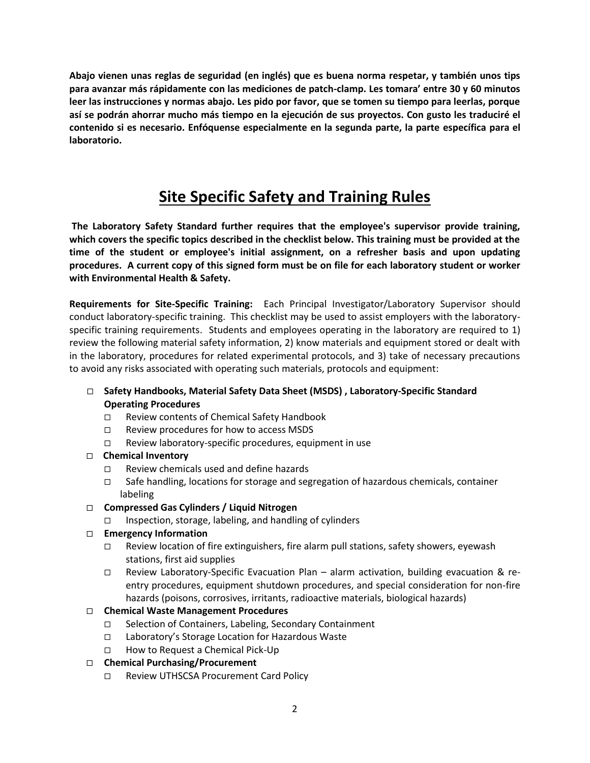**Abajo vienen unas reglas de seguridad (en inglés) que es buena norma respetar, y también unos tips para avanzar más rápidamente con las mediciones de patch-clamp. Les tomara' entre 30 y 60 minutos leer las instrucciones y normas abajo. Les pido por favor, que se tomen su tiempo para leerlas, porque así se podrán ahorrar mucho más tiempo en la ejecución de sus proyectos. Con gusto les traduciré el contenido si es necesario. Enfóquense especialmente en la segunda parte, la parte específica para el laboratorio.**

# **Site Specific Safety and Training Rules**

**The Laboratory Safety Standard further requires that the employee's supervisor provide training, which covers the specific topics described in the checklist below. This training must be provided at the time of the student or employee's initial assignment, on a refresher basis and upon updating procedures. A current copy of this signed form must be on file for each laboratory student or worker with Environmental Health & Safety.** 

**Requirements for Site-Specific Training:** Each Principal Investigator/Laboratory Supervisor should conduct laboratory-specific training. This checklist may be used to assist employers with the laboratoryspecific training requirements. Students and employees operating in the laboratory are required to 1) review the following material safety information, 2) know materials and equipment stored or dealt with in the laboratory, procedures for related experimental protocols, and 3) take of necessary precautions to avoid any risks associated with operating such materials, protocols and equipment:

- **Safety Handbooks, Material Safety Data Sheet (MSDS) , Laboratory-Specific Standard Operating Procedures**
	- Review contents of Chemical Safety Handbook
	- $\Box$  Review procedures for how to access MSDS
	- $\Box$  Review laboratory-specific procedures, equipment in use

# **Chemical Inventory**

- □ Review chemicals used and define hazards
- $\Box$  Safe handling, locations for storage and segregation of hazardous chemicals, container labeling
- **Compressed Gas Cylinders / Liquid Nitrogen** 
	- $\Box$  Inspection, storage, labeling, and handling of cylinders

# **Emergency Information**

- $\Box$  Review location of fire extinguishers, fire alarm pull stations, safety showers, eyewash stations, first aid supplies
- Review Laboratory-Specific Evacuation Plan alarm activation, building evacuation & reentry procedures, equipment shutdown procedures, and special consideration for non-fire hazards (poisons, corrosives, irritants, radioactive materials, biological hazards)

# **Chemical Waste Management Procedures**

- □ Selection of Containers, Labeling, Secondary Containment
- Laboratory's Storage Location for Hazardous Waste
- □ How to Request a Chemical Pick-Up

# **Chemical Purchasing/Procurement**

Review UTHSCSA Procurement Card Policy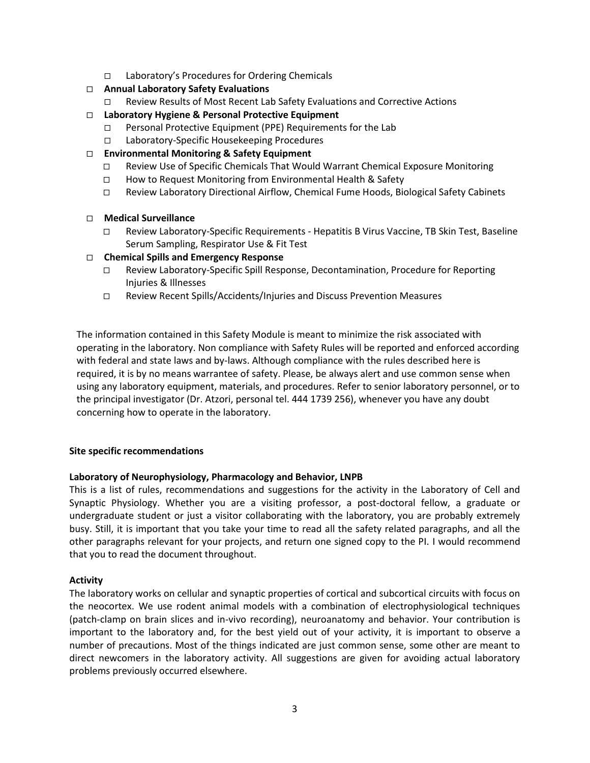- Laboratory's Procedures for Ordering Chemicals
- **Annual Laboratory Safety Evaluations** 
	- Review Results of Most Recent Lab Safety Evaluations and Corrective Actions
- **Laboratory Hygiene & Personal Protective Equipment** 
	- $\Box$  Personal Protective Equipment (PPE) Requirements for the Lab
	- Laboratory-Specific Housekeeping Procedures
- **Environmental Monitoring & Safety Equipment** 
	- $\Box$  Review Use of Specific Chemicals That Would Warrant Chemical Exposure Monitoring
	- □ How to Request Monitoring from Environmental Health & Safety
	- Review Laboratory Directional Airflow, Chemical Fume Hoods, Biological Safety Cabinets

# **Medical Surveillance**

 Review Laboratory-Specific Requirements - Hepatitis B Virus Vaccine, TB Skin Test, Baseline Serum Sampling, Respirator Use & Fit Test

# **Chemical Spills and Emergency Response**

- Review Laboratory-Specific Spill Response, Decontamination, Procedure for Reporting Injuries & Illnesses
- Review Recent Spills/Accidents/Injuries and Discuss Prevention Measures

The information contained in this Safety Module is meant to minimize the risk associated with operating in the laboratory. Non compliance with Safety Rules will be reported and enforced according with federal and state laws and by-laws. Although compliance with the rules described here is required, it is by no means warrantee of safety. Please, be always alert and use common sense when using any laboratory equipment, materials, and procedures. Refer to senior laboratory personnel, or to the principal investigator (Dr. Atzori, personal tel. 444 1739 256), whenever you have any doubt concerning how to operate in the laboratory.

#### **Site specific recommendations**

# **Laboratory of Neurophysiology, Pharmacology and Behavior, LNPB**

This is a list of rules, recommendations and suggestions for the activity in the Laboratory of Cell and Synaptic Physiology. Whether you are a visiting professor, a post-doctoral fellow, a graduate or undergraduate student or just a visitor collaborating with the laboratory, you are probably extremely busy. Still, it is important that you take your time to read all the safety related paragraphs, and all the other paragraphs relevant for your projects, and return one signed copy to the PI. I would recommend that you to read the document throughout.

#### **Activity**

The laboratory works on cellular and synaptic properties of cortical and subcortical circuits with focus on the neocortex. We use rodent animal models with a combination of electrophysiological techniques (patch-clamp on brain slices and in-vivo recording), neuroanatomy and behavior. Your contribution is important to the laboratory and, for the best yield out of your activity, it is important to observe a number of precautions. Most of the things indicated are just common sense, some other are meant to direct newcomers in the laboratory activity. All suggestions are given for avoiding actual laboratory problems previously occurred elsewhere.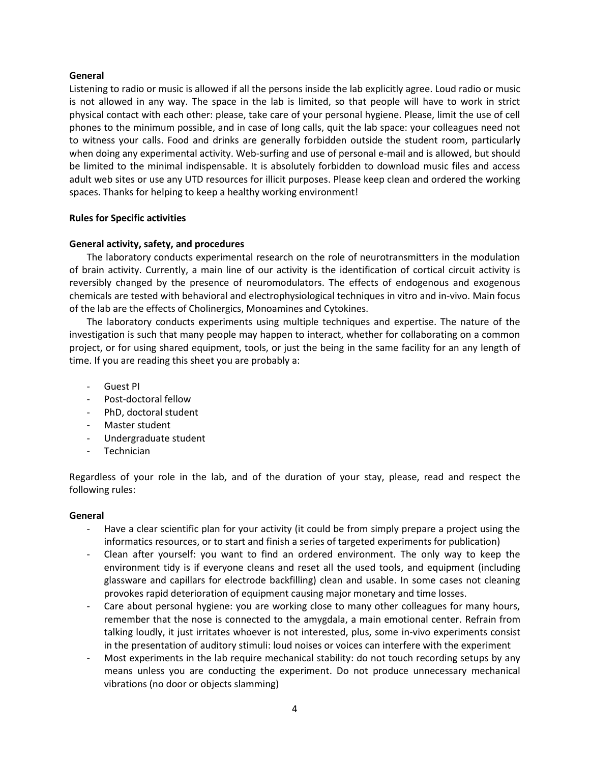### **General**

Listening to radio or music is allowed if all the persons inside the lab explicitly agree. Loud radio or music is not allowed in any way. The space in the lab is limited, so that people will have to work in strict physical contact with each other: please, take care of your personal hygiene. Please, limit the use of cell phones to the minimum possible, and in case of long calls, quit the lab space: your colleagues need not to witness your calls. Food and drinks are generally forbidden outside the student room, particularly when doing any experimental activity. Web-surfing and use of personal e-mail and is allowed, but should be limited to the minimal indispensable. It is absolutely forbidden to download music files and access adult web sites or use any UTD resources for illicit purposes. Please keep clean and ordered the working spaces. Thanks for helping to keep a healthy working environment!

# **Rules for Specific activities**

# **General activity, safety, and procedures**

The laboratory conducts experimental research on the role of neurotransmitters in the modulation of brain activity. Currently, a main line of our activity is the identification of cortical circuit activity is reversibly changed by the presence of neuromodulators. The effects of endogenous and exogenous chemicals are tested with behavioral and electrophysiological techniques in vitro and in-vivo. Main focus of the lab are the effects of Cholinergics, Monoamines and Cytokines.

The laboratory conducts experiments using multiple techniques and expertise. The nature of the investigation is such that many people may happen to interact, whether for collaborating on a common project, or for using shared equipment, tools, or just the being in the same facility for an any length of time. If you are reading this sheet you are probably a:

- Guest PI
- Post-doctoral fellow
- PhD, doctoral student
- Master student
- Undergraduate student
- Technician

Regardless of your role in the lab, and of the duration of your stay, please, read and respect the following rules:

#### **General**

- Have a clear scientific plan for your activity (it could be from simply prepare a project using the informatics resources, or to start and finish a series of targeted experiments for publication)
- Clean after yourself: you want to find an ordered environment. The only way to keep the environment tidy is if everyone cleans and reset all the used tools, and equipment (including glassware and capillars for electrode backfilling) clean and usable. In some cases not cleaning provokes rapid deterioration of equipment causing major monetary and time losses.
- Care about personal hygiene: you are working close to many other colleagues for many hours, remember that the nose is connected to the amygdala, a main emotional center. Refrain from talking loudly, it just irritates whoever is not interested, plus, some in-vivo experiments consist in the presentation of auditory stimuli: loud noises or voices can interfere with the experiment
- Most experiments in the lab require mechanical stability: do not touch recording setups by any means unless you are conducting the experiment. Do not produce unnecessary mechanical vibrations (no door or objects slamming)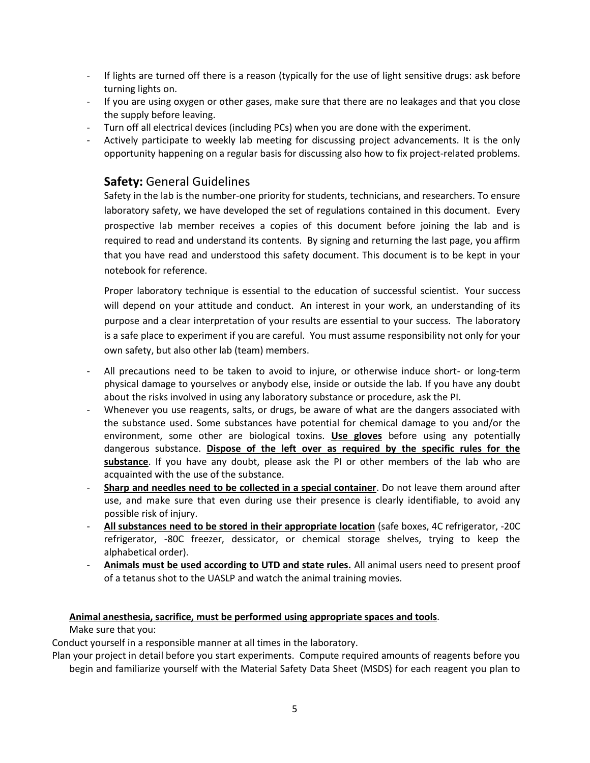- If lights are turned off there is a reason (typically for the use of light sensitive drugs: ask before turning lights on.
- If you are using oxygen or other gases, make sure that there are no leakages and that you close the supply before leaving.
- Turn off all electrical devices (including PCs) when you are done with the experiment.
- Actively participate to weekly lab meeting for discussing project advancements. It is the only opportunity happening on a regular basis for discussing also how to fix project-related problems.

# **Safety:** General Guidelines

Safety in the lab is the number-one priority for students, technicians, and researchers. To ensure laboratory safety, we have developed the set of regulations contained in this document. Every prospective lab member receives a copies of this document before joining the lab and is required to read and understand its contents. By signing and returning the last page, you affirm that you have read and understood this safety document. This document is to be kept in your notebook for reference.

Proper laboratory technique is essential to the education of successful scientist. Your success will depend on your attitude and conduct. An interest in your work, an understanding of its purpose and a clear interpretation of your results are essential to your success. The laboratory is a safe place to experiment if you are careful. You must assume responsibility not only for your own safety, but also other lab (team) members.

- All precautions need to be taken to avoid to injure, or otherwise induce short- or long-term physical damage to yourselves or anybody else, inside or outside the lab. If you have any doubt about the risks involved in using any laboratory substance or procedure, ask the PI.
- Whenever you use reagents, salts, or drugs, be aware of what are the dangers associated with the substance used. Some substances have potential for chemical damage to you and/or the environment, some other are biological toxins. **Use gloves** before using any potentially dangerous substance. **Dispose of the left over as required by the specific rules for the substance**. If you have any doubt, please ask the PI or other members of the lab who are acquainted with the use of the substance.
- **Sharp and needles need to be collected in a special container**. Do not leave them around after use, and make sure that even during use their presence is clearly identifiable, to avoid any possible risk of injury.
- **All substances need to be stored in their appropriate location** (safe boxes, 4C refrigerator, -20C refrigerator, -80C freezer, dessicator, or chemical storage shelves, trying to keep the alphabetical order).
- **Animals must be used according to UTD and state rules.** All animal users need to present proof of a tetanus shot to the UASLP and watch the animal training movies.

# **Animal anesthesia, sacrifice, must be performed using appropriate spaces and tools**.

Make sure that you:

Conduct yourself in a responsible manner at all times in the laboratory.

Plan your project in detail before you start experiments. Compute required amounts of reagents before you begin and familiarize yourself with the Material Safety Data Sheet (MSDS) for each reagent you plan to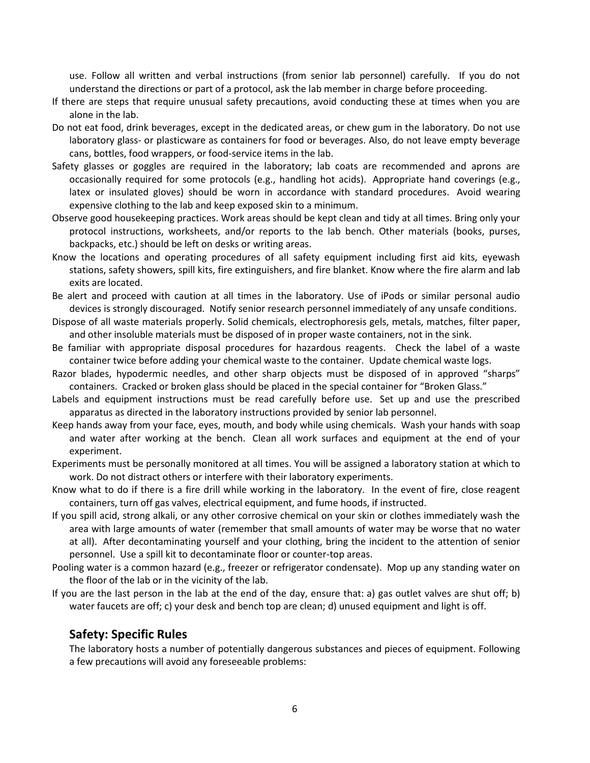use. Follow all written and verbal instructions (from senior lab personnel) carefully. If you do not understand the directions or part of a protocol, ask the lab member in charge before proceeding.

- If there are steps that require unusual safety precautions, avoid conducting these at times when you are alone in the lab.
- Do not eat food, drink beverages, except in the dedicated areas, or chew gum in the laboratory. Do not use laboratory glass- or plasticware as containers for food or beverages. Also, do not leave empty beverage cans, bottles, food wrappers, or food-service items in the lab.
- Safety glasses or goggles are required in the laboratory; lab coats are recommended and aprons are occasionally required for some protocols (e.g., handling hot acids). Appropriate hand coverings (e.g., latex or insulated gloves) should be worn in accordance with standard procedures. Avoid wearing expensive clothing to the lab and keep exposed skin to a minimum.
- Observe good housekeeping practices. Work areas should be kept clean and tidy at all times. Bring only your protocol instructions, worksheets, and/or reports to the lab bench. Other materials (books, purses, backpacks, etc.) should be left on desks or writing areas.
- Know the locations and operating procedures of all safety equipment including first aid kits, eyewash stations, safety showers, spill kits, fire extinguishers, and fire blanket. Know where the fire alarm and lab exits are located.
- Be alert and proceed with caution at all times in the laboratory. Use of iPods or similar personal audio devices is strongly discouraged. Notify senior research personnel immediately of any unsafe conditions.
- Dispose of all waste materials properly. Solid chemicals, electrophoresis gels, metals, matches, filter paper, and other insoluble materials must be disposed of in proper waste containers, not in the sink.
- Be familiar with appropriate disposal procedures for hazardous reagents. Check the label of a waste container twice before adding your chemical waste to the container. Update chemical waste logs.
- Razor blades, hypodermic needles, and other sharp objects must be disposed of in approved "sharps" containers. Cracked or broken glass should be placed in the special container for "Broken Glass."
- Labels and equipment instructions must be read carefully before use. Set up and use the prescribed apparatus as directed in the laboratory instructions provided by senior lab personnel.
- Keep hands away from your face, eyes, mouth, and body while using chemicals. Wash your hands with soap and water after working at the bench. Clean all work surfaces and equipment at the end of your experiment.
- Experiments must be personally monitored at all times. You will be assigned a laboratory station at which to work. Do not distract others or interfere with their laboratory experiments.
- Know what to do if there is a fire drill while working in the laboratory. In the event of fire, close reagent containers, turn off gas valves, electrical equipment, and fume hoods, if instructed.
- If you spill acid, strong alkali, or any other corrosive chemical on your skin or clothes immediately wash the area with large amounts of water (remember that small amounts of water may be worse that no water at all). After decontaminating yourself and your clothing, bring the incident to the attention of senior personnel. Use a spill kit to decontaminate floor or counter-top areas.
- Pooling water is a common hazard (e.g., freezer or refrigerator condensate). Mop up any standing water on the floor of the lab or in the vicinity of the lab.
- If you are the last person in the lab at the end of the day, ensure that: a) gas outlet valves are shut off; b) water faucets are off; c) your desk and bench top are clean; d) unused equipment and light is off.

# **Safety: Specific Rules**

The laboratory hosts a number of potentially dangerous substances and pieces of equipment. Following a few precautions will avoid any foreseeable problems: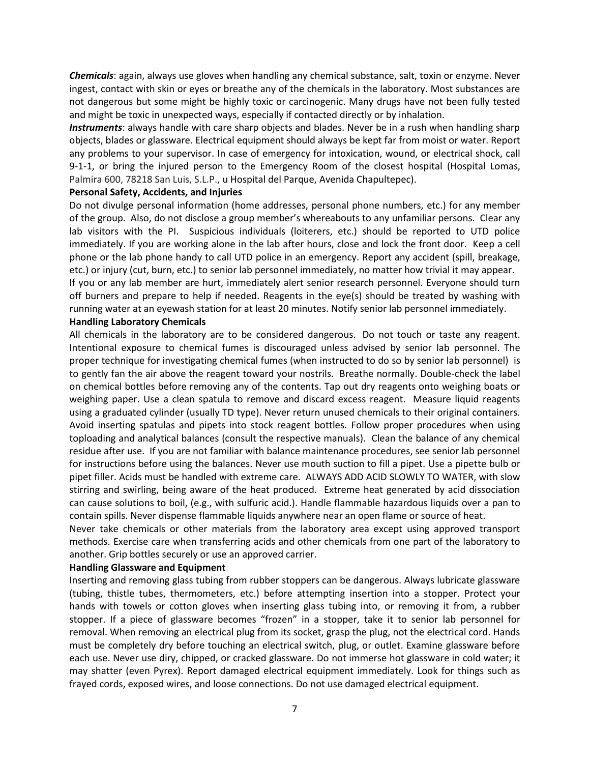*Chemicals*: again, always use gloves when handling any chemical substance, salt, toxin or enzyme. Never ingest, contact with skin or eyes or breathe any of the chemicals in the laboratory. Most substances are not dangerous but some might be highly toxic or carcinogenic. Many drugs have not been fully tested and might be toxic in unexpected ways, especially if contacted directly or by inhalation.

*Instruments*: always handle with care sharp objects and blades. Never be in a rush when handling sharp objects, blades or glassware. Electrical equipment should always be kept far from moist or water. Report any problems to your supervisor. In case of emergency for intoxication, wound, or electrical shock, call 9-1-1, or bring the injured person to the Emergency Room of the closest hospital (Hospital Lomas, Palmira 600, 78218 San Luis, S.L.P., u Hospital del Parque, Avenida Chapultepec).

#### **Personal Safety, Accidents, and Injuries**

Do not divulge personal information (home addresses, personal phone numbers, etc.) for any member of the group. Also, do not disclose a group member's whereabouts to any unfamiliar persons. Clear any lab visitors with the PI. Suspicious individuals (loiterers, etc.) should be reported to UTD police immediately. If you are working alone in the lab after hours, close and lock the front door. Keep a cell phone or the lab phone handy to call UTD police in an emergency. Report any accident (spill, breakage, etc.) or injury (cut, burn, etc.) to senior lab personnel immediately, no matter how trivial it may appear. If you or any lab member are hurt, immediately alert senior research personnel. Everyone should turn off burners and prepare to help if needed. Reagents in the eye(s) should be treated by washing with running water at an eyewash station for at least 20 minutes. Notify senior lab personnel immediately.

#### **Handling Laboratory Chemicals**

All chemicals in the laboratory are to be considered dangerous. Do not touch or taste any reagent. Intentional exposure to chemical fumes is discouraged unless advised by senior lab personnel. The proper technique for investigating chemical fumes (when instructed to do so by senior lab personnel) is to gently fan the air above the reagent toward your nostrils. Breathe normally. Double-check the label on chemical bottles before removing any of the contents. Tap out dry reagents onto weighing boats or weighing paper. Use a clean spatula to remove and discard excess reagent. Measure liquid reagents using a graduated cylinder (usually TD type). Never return unused chemicals to their original containers. Avoid inserting spatulas and pipets into stock reagent bottles. Follow proper procedures when using toploading and analytical balances (consult the respective manuals). Clean the balance of any chemical residue after use. If you are not familiar with balance maintenance procedures, see senior lab personnel for instructions before using the balances. Never use mouth suction to fill a pipet. Use a pipette bulb or pipet filler. Acids must be handled with extreme care. ALWAYS ADD ACID SLOWLY TO WATER, with slow stirring and swirling, being aware of the heat produced. Extreme heat generated by acid dissociation can cause solutions to boil, (e.g., with sulfuric acid.). Handle flammable hazardous liquids over a pan to contain spills. Never dispense flammable liquids anywhere near an open flame or source of heat.

Never take chemicals or other materials from the laboratory area except using approved transport methods. Exercise care when transferring acids and other chemicals from one part of the laboratory to another. Grip bottles securely or use an approved carrier.

#### **Handling Glassware and Equipment**

Inserting and removing glass tubing from rubber stoppers can be dangerous. Always lubricate glassware (tubing, thistle tubes, thermometers, etc.) before attempting insertion into a stopper. Protect your hands with towels or cotton gloves when inserting glass tubing into, or removing it from, a rubber stopper. If a piece of glassware becomes "frozen" in a stopper, take it to senior lab personnel for removal. When removing an electrical plug from its socket, grasp the plug, not the electrical cord. Hands must be completely dry before touching an electrical switch, plug, or outlet. Examine glassware before each use. Never use diry, chipped, or cracked glassware. Do not immerse hot glassware in cold water; it may shatter (even Pyrex). Report damaged electrical equipment immediately. Look for things such as frayed cords, exposed wires, and loose connections. Do not use damaged electrical equipment.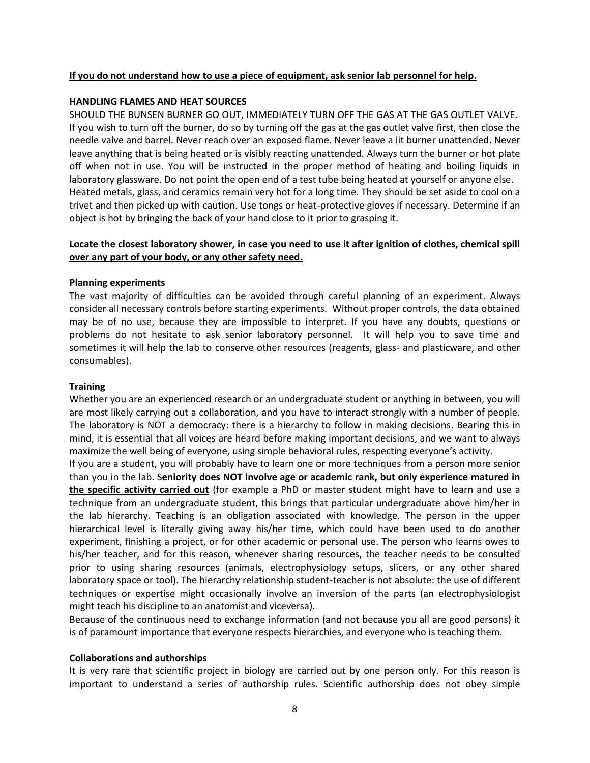# **If you do not understand how to use a piece of equipment, ask senior lab personnel for help.**

### **HANDLING FLAMES AND HEAT SOURCES**

SHOULD THE BUNSEN BURNER GO OUT, IMMEDIATELY TURN OFF THE GAS AT THE GAS OUTLET VALVE. If you wish to turn off the burner, do so by turning off the gas at the gas outlet valve first, then close the needle valve and barrel. Never reach over an exposed flame. Never leave a lit burner unattended. Never leave anything that is being heated or is visibly reacting unattended. Always turn the burner or hot plate off when not in use. You will be instructed in the proper method of heating and boiling liquids in laboratory glassware. Do not point the open end of a test tube being heated at yourself or anyone else. Heated metals, glass, and ceramics remain very hot for a long time. They should be set aside to cool on a trivet and then picked up with caution. Use tongs or heat-protective gloves if necessary. Determine if an object is hot by bringing the back of your hand close to it prior to grasping it.

# **Locate the closest laboratory shower, in case you need to use it after ignition of clothes, chemical spill over any part of your body, or any other safety need.**

# **Planning experiments**

The vast majority of difficulties can be avoided through careful planning of an experiment. Always consider all necessary controls before starting experiments. Without proper controls, the data obtained may be of no use, because they are impossible to interpret. If you have any doubts, questions or problems do not hesitate to ask senior laboratory personnel. It will help you to save time and sometimes it will help the lab to conserve other resources (reagents, glass- and plasticware, and other consumables).

### **Training**

Whether you are an experienced research or an undergraduate student or anything in between, you will are most likely carrying out a collaboration, and you have to interact strongly with a number of people. The laboratory is NOT a democracy: there is a hierarchy to follow in making decisions. Bearing this in mind, it is essential that all voices are heard before making important decisions, and we want to always maximize the well being of everyone, using simple behavioral rules, respecting everyone's activity.

If you are a student, you will probably have to learn one or more techniques from a person more senior than you in the lab. S**eniority does NOT involve age or academic rank, but only experience matured in the specific activity carried out** (for example a PhD or master student might have to learn and use a technique from an undergraduate student, this brings that particular undergraduate above him/her in the lab hierarchy. Teaching is an obligation associated with knowledge. The person in the upper hierarchical level is literally giving away his/her time, which could have been used to do another experiment, finishing a project, or for other academic or personal use. The person who learns owes to his/her teacher, and for this reason, whenever sharing resources, the teacher needs to be consulted prior to using sharing resources (animals, electrophysiology setups, slicers, or any other shared laboratory space or tool). The hierarchy relationship student-teacher is not absolute: the use of different techniques or expertise might occasionally involve an inversion of the parts (an electrophysiologist might teach his discipline to an anatomist and viceversa).

Because of the continuous need to exchange information (and not because you all are good persons) it is of paramount importance that everyone respects hierarchies, and everyone who is teaching them.

#### **Collaborations and authorships**

It is very rare that scientific project in biology are carried out by one person only. For this reason is important to understand a series of authorship rules. Scientific authorship does not obey simple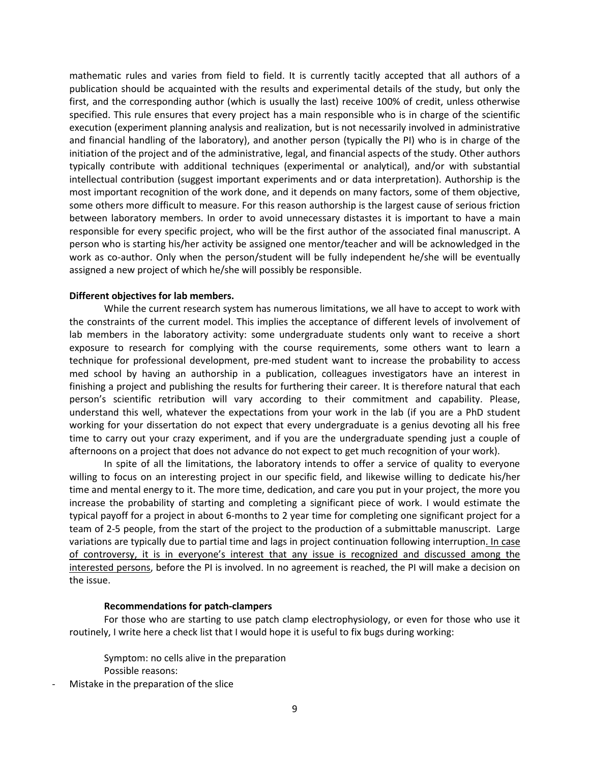mathematic rules and varies from field to field. It is currently tacitly accepted that all authors of a publication should be acquainted with the results and experimental details of the study, but only the first, and the corresponding author (which is usually the last) receive 100% of credit, unless otherwise specified. This rule ensures that every project has a main responsible who is in charge of the scientific execution (experiment planning analysis and realization, but is not necessarily involved in administrative and financial handling of the laboratory), and another person (typically the PI) who is in charge of the initiation of the project and of the administrative, legal, and financial aspects of the study. Other authors typically contribute with additional techniques (experimental or analytical), and/or with substantial intellectual contribution (suggest important experiments and or data interpretation). Authorship is the most important recognition of the work done, and it depends on many factors, some of them objective, some others more difficult to measure. For this reason authorship is the largest cause of serious friction between laboratory members. In order to avoid unnecessary distastes it is important to have a main responsible for every specific project, who will be the first author of the associated final manuscript. A person who is starting his/her activity be assigned one mentor/teacher and will be acknowledged in the work as co-author. Only when the person/student will be fully independent he/she will be eventually assigned a new project of which he/she will possibly be responsible.

#### **Different objectives for lab members.**

While the current research system has numerous limitations, we all have to accept to work with the constraints of the current model. This implies the acceptance of different levels of involvement of lab members in the laboratory activity: some undergraduate students only want to receive a short exposure to research for complying with the course requirements, some others want to learn a technique for professional development, pre-med student want to increase the probability to access med school by having an authorship in a publication, colleagues investigators have an interest in finishing a project and publishing the results for furthering their career. It is therefore natural that each person's scientific retribution will vary according to their commitment and capability. Please, understand this well, whatever the expectations from your work in the lab (if you are a PhD student working for your dissertation do not expect that every undergraduate is a genius devoting all his free time to carry out your crazy experiment, and if you are the undergraduate spending just a couple of afternoons on a project that does not advance do not expect to get much recognition of your work).

In spite of all the limitations, the laboratory intends to offer a service of quality to everyone willing to focus on an interesting project in our specific field, and likewise willing to dedicate his/her time and mental energy to it. The more time, dedication, and care you put in your project, the more you increase the probability of starting and completing a significant piece of work. I would estimate the typical payoff for a project in about 6-months to 2 year time for completing one significant project for a team of 2-5 people, from the start of the project to the production of a submittable manuscript. Large variations are typically due to partial time and lags in project continuation following interruption. In case of controversy, it is in everyone's interest that any issue is recognized and discussed among the interested persons, before the PI is involved. In no agreement is reached, the PI will make a decision on the issue.

#### **Recommendations for patch-clampers**

For those who are starting to use patch clamp electrophysiology, or even for those who use it routinely, I write here a check list that I would hope it is useful to fix bugs during working:

Symptom: no cells alive in the preparation Possible reasons:

Mistake in the preparation of the slice